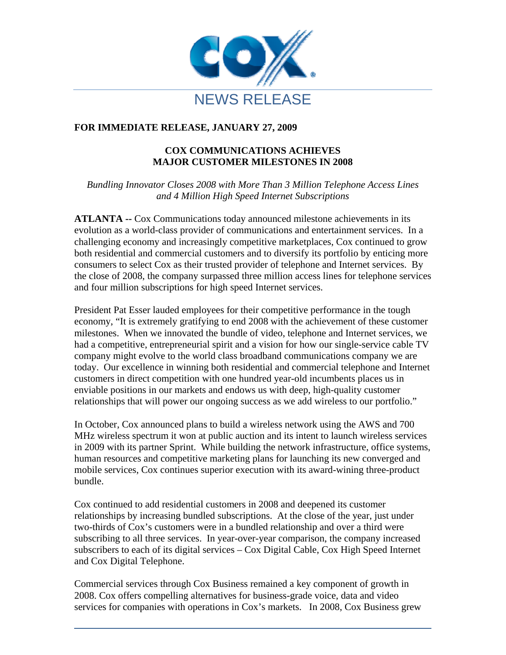

## **FOR IMMEDIATE RELEASE, JANUARY 27, 2009**

## **COX COMMUNICATIONS ACHIEVES MAJOR CUSTOMER MILESTONES IN 2008**

*Bundling Innovator Closes 2008 with More Than 3 Million Telephone Access Lines and 4 Million High Speed Internet Subscriptions* 

**ATLANTA --** Cox Communications today announced milestone achievements in its evolution as a world-class provider of communications and entertainment services. In a challenging economy and increasingly competitive marketplaces, Cox continued to grow both residential and commercial customers and to diversify its portfolio by enticing more consumers to select Cox as their trusted provider of telephone and Internet services. By the close of 2008, the company surpassed three million access lines for telephone services and four million subscriptions for high speed Internet services.

President Pat Esser lauded employees for their competitive performance in the tough economy, "It is extremely gratifying to end 2008 with the achievement of these customer milestones. When we innovated the bundle of video, telephone and Internet services, we had a competitive, entrepreneurial spirit and a vision for how our single-service cable TV company might evolve to the world class broadband communications company we are today. Our excellence in winning both residential and commercial telephone and Internet customers in direct competition with one hundred year-old incumbents places us in enviable positions in our markets and endows us with deep, high-quality customer relationships that will power our ongoing success as we add wireless to our portfolio."

In October, Cox announced plans to build a wireless network using the AWS and 700 MHz wireless spectrum it won at public auction and its intent to launch wireless services in 2009 with its partner Sprint. While building the network infrastructure, office systems, human resources and competitive marketing plans for launching its new converged and mobile services, Cox continues superior execution with its award-wining three-product bundle.

Cox continued to add residential customers in 2008 and deepened its customer relationships by increasing bundled subscriptions. At the close of the year, just under two-thirds of Cox's customers were in a bundled relationship and over a third were subscribing to all three services. In year-over-year comparison, the company increased subscribers to each of its digital services – Cox Digital Cable, Cox High Speed Internet and Cox Digital Telephone.

Commercial services through Cox Business remained a key component of growth in 2008. Cox offers compelling alternatives for business-grade voice, data and video services for companies with operations in Cox's markets. In 2008, Cox Business grew